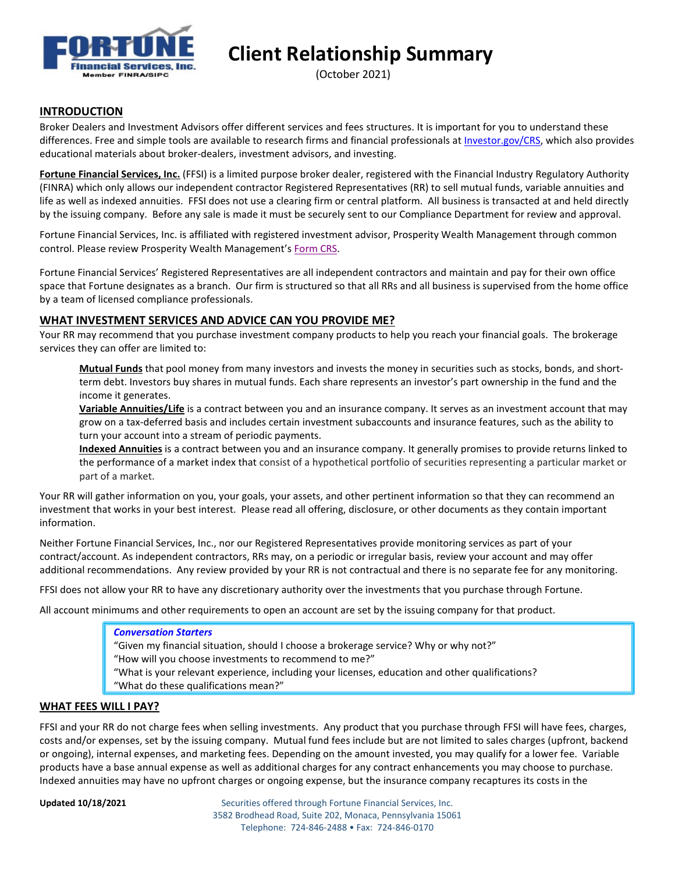

**Client Relationship Summary**

(October 2021)

# **INTRODUCTION**

Broker Dealers and Investment Advisors offer different services and fees structures. It is important for you to understand these differences. Free and simple tools are available to research firms and financial professionals at [Investor.gov/CRS,](https://www.investor.gov/CRS) which also provides educational materials about broker-dealers, investment advisors, and investing.

**Fortune Financial Services, Inc.** (FFSI) is a limited purpose broker dealer, registered with the Financial Industry Regulatory Authority (FINRA) which only allows our independent contractor Registered Representatives (RR) to sell mutual funds, variable annuities and life as well as indexed annuities. FFSI does not use a clearing firm or central platform. All business is transacted at and held directly by the issuing company. Before any sale is made it must be securely sent to our Compliance Department for review and approval.

Fortune Financial Services, Inc. is affiliated with registered investment advisor, Prosperity Wealth Management through common control. Please review Prosperity Wealth Management's [Form CRS.](https://www.thinkpwm.com/wp-content/uploads/2021/10/PWM-Form-CRS-10-18-21.pdf)

Fortune Financial Services' Registered Representatives are all independent contractors and maintain and pay for their own office space that Fortune designates as a branch. Our firm is structured so that all RRs and all business is supervised from the home office by a team of licensed compliance professionals.

#### **WHAT INVESTMENT SERVICES AND ADVICE CAN YOU PROVIDE ME?**

Your RR may recommend that you purchase investment company products to help you reach your financial goals. The brokerage services they can offer are limited to:

**Mutual Funds** that pool money from many investors and invests the money in securities such as stocks, bonds, and shortterm debt. Investors buy shares in mutual funds. Each share represents an investor's part ownership in the fund and the income it generates.

**Variable Annuities/Life** is a contract between you and an insurance company. It serves as an investment account that may grow on a tax-deferred basis and includes certain investment subaccounts and insurance features, such as the ability to turn your account into a stream of periodic payments.

**Indexed Annuities** is a contract between you and an insurance company. It generally promises to provide returns linked to the performance of a [market index](https://www.investor.gov/additional-resources/general-resources/glossary/market-index) that consist of a hypothetical portfolio of securities representing a particular market or part of a market.

Your RR will gather information on you, your goals, your assets, and other pertinent information so that they can recommend an investment that works in your best interest. Please read all offering, disclosure, or other documents as they contain important information.

Neither Fortune Financial Services, Inc., nor our Registered Representatives provide monitoring services as part of your contract/account. As independent contractors, RRs may, on a periodic or irregular basis, review your account and may offer additional recommendations. Any review provided by your RR is not contractual and there is no separate fee for any monitoring.

FFSI does not allow your RR to have any discretionary authority over the investments that you purchase through Fortune.

All account minimums and other requirements to open an account are set by the issuing company for that product.

#### *Conversation Starters*

"Given my financial situation, should I choose a brokerage service? Why or why not?"

"How will you choose investments to recommend to me?"

"What is your relevant experience, including your licenses, education and other qualifications?

"What do these qualifications mean?"

# **WHAT FEES WILL I PAY?**

FFSI and your RR do not charge fees when selling investments. Any product that you purchase through FFSI will have fees, charges, costs and/or expenses, set by the issuing company. Mutual fund fees include but are not limited to sales charges (upfront, backend or ongoing), internal expenses, and marketing fees. Depending on the amount invested, you may qualify for a lower fee. Variable products have a base annual expense as well as additional charges for any contract enhancements you may choose to purchase. Indexed annuities may have no upfront charges or ongoing expense, but the insurance company recaptures its costs in the

**Updated 10/18/2021** Securities offered through Fortune Financial Services, Inc. 3582 Brodhead Road, Suite 202, Monaca, Pennsylvania 15061 Telephone: 724-846-2488 • Fax: 724-846-0170